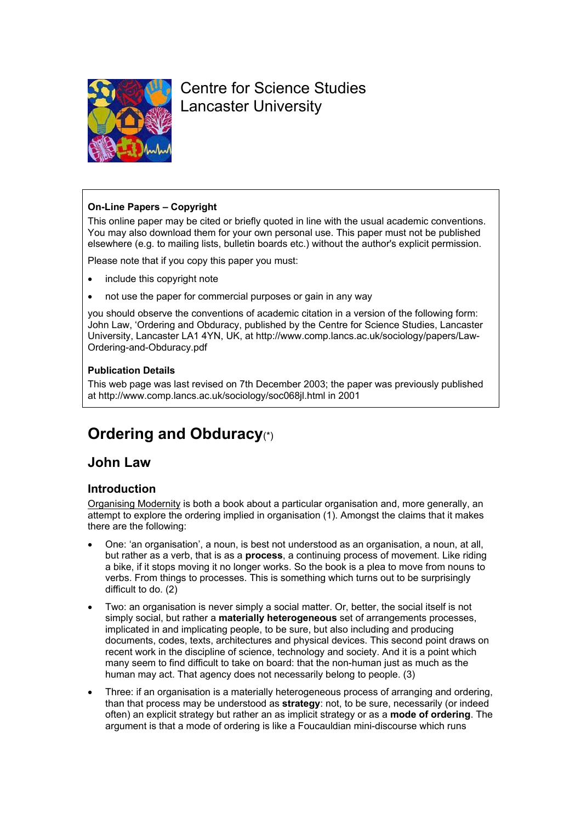

Centre for Science Studies Lancaster University

### **On-Line Papers – Copyright**

This online paper may be cited or briefly quoted in line with the usual academic conventions. You may also download them for your own personal use. This paper must not be published elsewhere (e.g. to mailing lists, bulletin boards etc.) without the author's explicit permission.

Please note that if you copy this paper you must:

- include this copyright note
- not use the paper for commercial purposes or gain in any way

you should observe the conventions of academic citation in a version of the following form: John Law, 'Ordering and Obduracy, published by the Centre for Science Studies, Lancaster University, Lancaster LA1 4YN, UK, at http://www.comp.lancs.ac.uk/sociology/papers/Law-Ordering-and-Obduracy.pdf

#### **Publication Details**

This web page was last revised on 7th December 2003; the paper was previously published at http://www.comp.lancs.ac.uk/sociology/soc068jl.html in 2001

# **Ordering and Obduracy**(\*)

# **John Law**

# **Introduction**

Organising Modernity is both a book about a particular organisation and, more generally, an attempt to explore the ordering implied in organisation (1). Amongst the claims that it makes there are the following:

- One: 'an organisation', a noun, is best not understood as an organisation, a noun, at all, but rather as a verb, that is as a **process**, a continuing process of movement. Like riding a bike, if it stops moving it no longer works. So the book is a plea to move from nouns to verbs. From things to processes. This is something which turns out to be surprisingly difficult to do. (2)
- Two: an organisation is never simply a social matter. Or, better, the social itself is not simply social, but rather a **materially heterogeneous** set of arrangements processes, implicated in and implicating people, to be sure, but also including and producing documents, codes, texts, architectures and physical devices. This second point draws on recent work in the discipline of science, technology and society. And it is a point which many seem to find difficult to take on board: that the non-human just as much as the human may act. That agency does not necessarily belong to people. (3)
- Three: if an organisation is a materially heterogeneous process of arranging and ordering, than that process may be understood as **strategy**: not, to be sure, necessarily (or indeed often) an explicit strategy but rather an as implicit strategy or as a **mode of ordering**. The argument is that a mode of ordering is like a Foucauldian mini-discourse which runs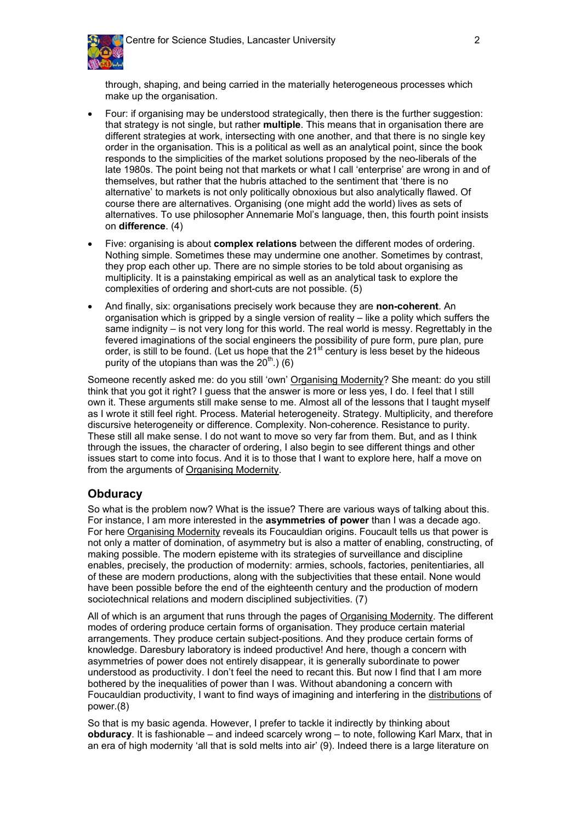

through, shaping, and being carried in the materially heterogeneous processes which make up the organisation.

- Four: if organising may be understood strategically, then there is the further suggestion: that strategy is not single, but rather **multiple**. This means that in organisation there are different strategies at work, intersecting with one another, and that there is no single key order in the organisation. This is a political as well as an analytical point, since the book responds to the simplicities of the market solutions proposed by the neo-liberals of the late 1980s. The point being not that markets or what I call 'enterprise' are wrong in and of themselves, but rather that the hubris attached to the sentiment that 'there is no alternative' to markets is not only politically obnoxious but also analytically flawed. Of course there are alternatives. Organising (one might add the world) lives as sets of alternatives. To use philosopher Annemarie Mol's language, then, this fourth point insists on **difference**. (4)
- Five: organising is about **complex relations** between the different modes of ordering. Nothing simple. Sometimes these may undermine one another. Sometimes by contrast, they prop each other up. There are no simple stories to be told about organising as multiplicity. It is a painstaking empirical as well as an analytical task to explore the complexities of ordering and short-cuts are not possible. (5)
- And finally, six: organisations precisely work because they are **non-coherent**. An organisation which is gripped by a single version of reality – like a polity which suffers the same indignity – is not very long for this world. The real world is messy. Regrettably in the fevered imaginations of the social engineers the possibility of pure form, pure plan, pure order, is still to be found. (Let us hope that the  $21<sup>st</sup>$  century is less beset by the hideous purity of the utopians than was the  $20^{th}$ .) (6)

Someone recently asked me: do you still 'own' Organising Modernity? She meant: do you still think that you got it right? I guess that the answer is more or less yes, I do. I feel that I still own it. These arguments still make sense to me. Almost all of the lessons that I taught myself as I wrote it still feel right. Process. Material heterogeneity. Strategy. Multiplicity, and therefore discursive heterogeneity or difference. Complexity. Non-coherence. Resistance to purity. These still all make sense. I do not want to move so very far from them. But, and as I think through the issues, the character of ordering, I also begin to see different things and other issues start to come into focus. And it is to those that I want to explore here, half a move on from the arguments of Organising Modernity.

# **Obduracy**

So what is the problem now? What is the issue? There are various ways of talking about this. For instance, I am more interested in the **asymmetries of power** than I was a decade ago. For here Organising Modernity reveals its Foucauldian origins. Foucault tells us that power is not only a matter of domination, of asymmetry but is also a matter of enabling, constructing, of making possible. The modern episteme with its strategies of surveillance and discipline enables, precisely, the production of modernity: armies, schools, factories, penitentiaries, all of these are modern productions, along with the subjectivities that these entail. None would have been possible before the end of the eighteenth century and the production of modern sociotechnical relations and modern disciplined subjectivities. (7)

All of which is an argument that runs through the pages of Organising Modernity. The different modes of ordering produce certain forms of organisation. They produce certain material arrangements. They produce certain subject-positions. And they produce certain forms of knowledge. Daresbury laboratory is indeed productive! And here, though a concern with asymmetries of power does not entirely disappear, it is generally subordinate to power understood as productivity. I don't feel the need to recant this. But now I find that I am more bothered by the inequalities of power than I was. Without abandoning a concern with Foucauldian productivity, I want to find ways of imagining and interfering in the distributions of power.(8)

So that is my basic agenda. However, I prefer to tackle it indirectly by thinking about **obduracy**. It is fashionable – and indeed scarcely wrong – to note, following Karl Marx, that in an era of high modernity 'all that is sold melts into air' (9). Indeed there is a large literature on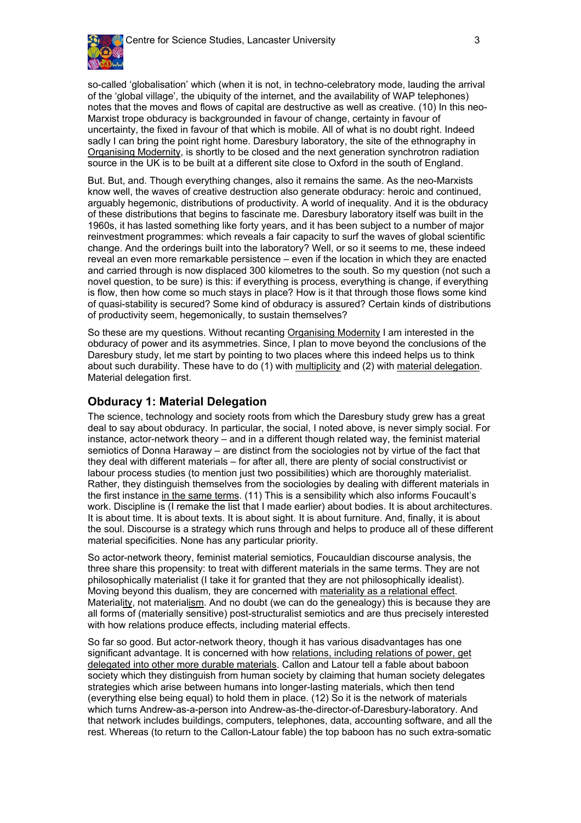

so-called 'globalisation' which (when it is not, in techno-celebratory mode, lauding the arrival of the 'global village', the ubiquity of the internet, and the availability of WAP telephones) notes that the moves and flows of capital are destructive as well as creative. (10) In this neo-Marxist trope obduracy is backgrounded in favour of change, certainty in favour of uncertainty, the fixed in favour of that which is mobile. All of what is no doubt right. Indeed sadly I can bring the point right home. Daresbury laboratory, the site of the ethnography in Organising Modernity, is shortly to be closed and the next generation synchrotron radiation source in the UK is to be built at a different site close to Oxford in the south of England.

But. But, and. Though everything changes, also it remains the same. As the neo-Marxists know well, the waves of creative destruction also generate obduracy: heroic and continued, arguably hegemonic, distributions of productivity. A world of inequality. And it is the obduracy of these distributions that begins to fascinate me. Daresbury laboratory itself was built in the 1960s, it has lasted something like forty years, and it has been subject to a number of major reinvestment programmes: which reveals a fair capacity to surf the waves of global scientific change. And the orderings built into the laboratory? Well, or so it seems to me, these indeed reveal an even more remarkable persistence – even if the location in which they are enacted and carried through is now displaced 300 kilometres to the south. So my question (not such a novel question, to be sure) is this: if everything is process, everything is change, if everything is flow, then how come so much stays in place? How is it that through those flows some kind of quasi-stability is secured? Some kind of obduracy is assured? Certain kinds of distributions of productivity seem, hegemonically, to sustain themselves?

So these are my questions. Without recanting Organising Modernity I am interested in the obduracy of power and its asymmetries. Since, I plan to move beyond the conclusions of the Daresbury study, let me start by pointing to two places where this indeed helps us to think about such durability. These have to do (1) with multiplicity and (2) with material delegation. Material delegation first.

# **Obduracy 1: Material Delegation**

The science, technology and society roots from which the Daresbury study grew has a great deal to say about obduracy. In particular, the social, I noted above, is never simply social. For instance, actor-network theory – and in a different though related way, the feminist material semiotics of Donna Haraway – are distinct from the sociologies not by virtue of the fact that they deal with different materials – for after all, there are plenty of social constructivist or labour process studies (to mention just two possibilities) which are thoroughly materialist. Rather, they distinguish themselves from the sociologies by dealing with different materials in the first instance in the same terms. (11) This is a sensibility which also informs Foucault's work. Discipline is (I remake the list that I made earlier) about bodies. It is about architectures. It is about time. It is about texts. It is about sight. It is about furniture. And, finally, it is about the soul. Discourse is a strategy which runs through and helps to produce all of these different material specificities. None has any particular priority.

So actor-network theory, feminist material semiotics, Foucauldian discourse analysis, the three share this propensity: to treat with different materials in the same terms. They are not philosophically materialist (I take it for granted that they are not philosophically idealist). Moving beyond this dualism, they are concerned with materiality as a relational effect. Materiality, not materialism. And no doubt (we can do the genealogy) this is because they are all forms of (materially sensitive) post-structuralist semiotics and are thus precisely interested with how relations produce effects, including material effects.

So far so good. But actor-network theory, though it has various disadvantages has one significant advantage. It is concerned with how relations, including relations of power, get delegated into other more durable materials. Callon and Latour tell a fable about baboon society which they distinguish from human society by claiming that human society delegates strategies which arise between humans into longer-lasting materials, which then tend (everything else being equal) to hold them in place. (12) So it is the network of materials which turns Andrew-as-a-person into Andrew-as-the-director-of-Daresbury-laboratory. And that network includes buildings, computers, telephones, data, accounting software, and all the rest. Whereas (to return to the Callon-Latour fable) the top baboon has no such extra-somatic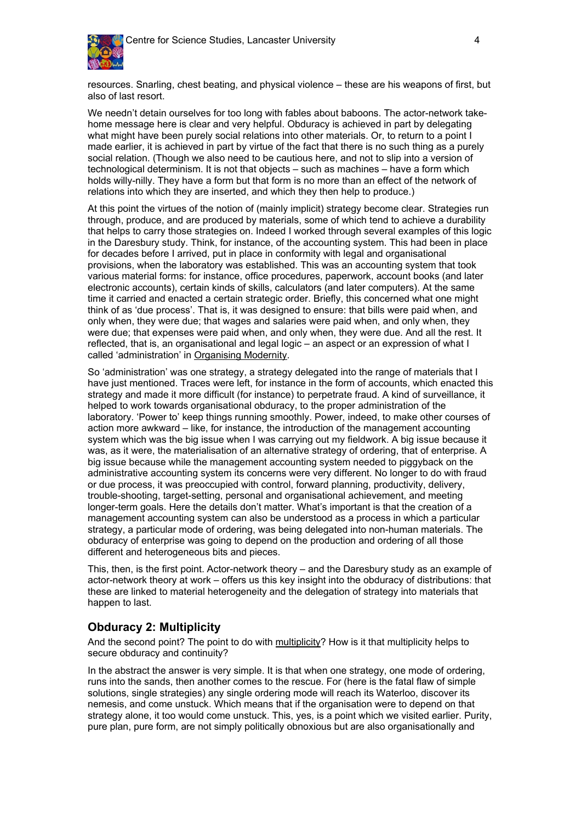

resources. Snarling, chest beating, and physical violence – these are his weapons of first, but also of last resort.

We needn't detain ourselves for too long with fables about baboons. The actor-network takehome message here is clear and very helpful. Obduracy is achieved in part by delegating what might have been purely social relations into other materials. Or, to return to a point I made earlier, it is achieved in part by virtue of the fact that there is no such thing as a purely social relation. (Though we also need to be cautious here, and not to slip into a version of technological determinism. It is not that objects – such as machines – have a form which holds willy-nilly. They have a form but that form is no more than an effect of the network of relations into which they are inserted, and which they then help to produce.)

At this point the virtues of the notion of (mainly implicit) strategy become clear. Strategies run through, produce, and are produced by materials, some of which tend to achieve a durability that helps to carry those strategies on. Indeed I worked through several examples of this logic in the Daresbury study. Think, for instance, of the accounting system. This had been in place for decades before I arrived, put in place in conformity with legal and organisational provisions, when the laboratory was established. This was an accounting system that took various material forms: for instance, office procedures, paperwork, account books (and later electronic accounts), certain kinds of skills, calculators (and later computers). At the same time it carried and enacted a certain strategic order. Briefly, this concerned what one might think of as 'due process'. That is, it was designed to ensure: that bills were paid when, and only when, they were due; that wages and salaries were paid when, and only when, they were due; that expenses were paid when, and only when, they were due. And all the rest. It reflected, that is, an organisational and legal logic – an aspect or an expression of what I called 'administration' in Organising Modernity.

So 'administration' was one strategy, a strategy delegated into the range of materials that I have just mentioned. Traces were left, for instance in the form of accounts, which enacted this strategy and made it more difficult (for instance) to perpetrate fraud. A kind of surveillance, it helped to work towards organisational obduracy, to the proper administration of the laboratory. 'Power to' keep things running smoothly. Power, indeed, to make other courses of action more awkward – like, for instance, the introduction of the management accounting system which was the big issue when I was carrying out my fieldwork. A big issue because it was, as it were, the materialisation of an alternative strategy of ordering, that of enterprise. A big issue because while the management accounting system needed to piggyback on the administrative accounting system its concerns were very different. No longer to do with fraud or due process, it was preoccupied with control, forward planning, productivity, delivery, trouble-shooting, target-setting, personal and organisational achievement, and meeting longer-term goals. Here the details don't matter. What's important is that the creation of a management accounting system can also be understood as a process in which a particular strategy, a particular mode of ordering, was being delegated into non-human materials. The obduracy of enterprise was going to depend on the production and ordering of all those different and heterogeneous bits and pieces.

This, then, is the first point. Actor-network theory – and the Daresbury study as an example of actor-network theory at work – offers us this key insight into the obduracy of distributions: that these are linked to material heterogeneity and the delegation of strategy into materials that happen to last.

# **Obduracy 2: Multiplicity**

And the second point? The point to do with multiplicity? How is it that multiplicity helps to secure obduracy and continuity?

In the abstract the answer is very simple. It is that when one strategy, one mode of ordering, runs into the sands, then another comes to the rescue. For (here is the fatal flaw of simple solutions, single strategies) any single ordering mode will reach its Waterloo, discover its nemesis, and come unstuck. Which means that if the organisation were to depend on that strategy alone, it too would come unstuck. This, yes, is a point which we visited earlier. Purity, pure plan, pure form, are not simply politically obnoxious but are also organisationally and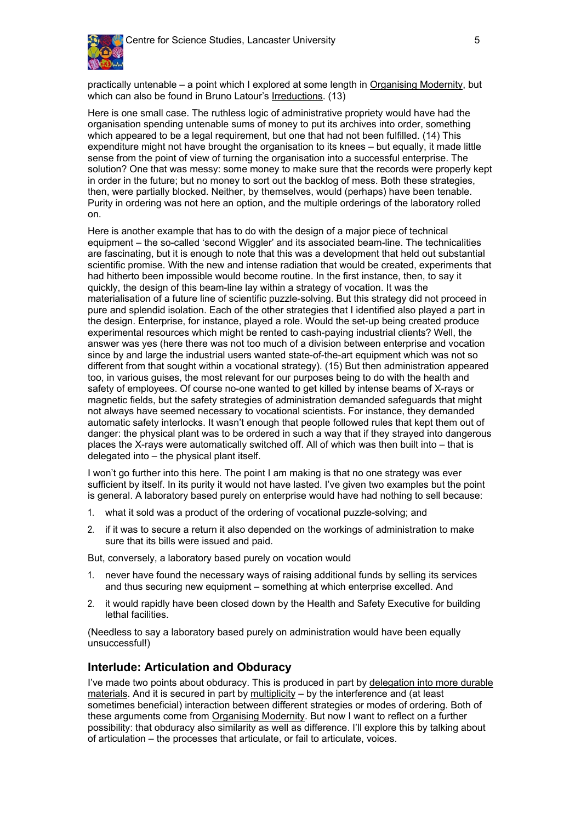

practically untenable – a point which I explored at some length in Organising Modernity, but which can also be found in Bruno Latour's Irreductions. (13)

Here is one small case. The ruthless logic of administrative propriety would have had the organisation spending untenable sums of money to put its archives into order, something which appeared to be a legal requirement, but one that had not been fulfilled. (14) This expenditure might not have brought the organisation to its knees – but equally, it made little sense from the point of view of turning the organisation into a successful enterprise. The solution? One that was messy: some money to make sure that the records were properly kept in order in the future; but no money to sort out the backlog of mess. Both these strategies, then, were partially blocked. Neither, by themselves, would (perhaps) have been tenable. Purity in ordering was not here an option, and the multiple orderings of the laboratory rolled on.

Here is another example that has to do with the design of a major piece of technical equipment – the so-called 'second Wiggler' and its associated beam-line. The technicalities are fascinating, but it is enough to note that this was a development that held out substantial scientific promise. With the new and intense radiation that would be created, experiments that had hitherto been impossible would become routine. In the first instance, then, to say it quickly, the design of this beam-line lay within a strategy of vocation. It was the materialisation of a future line of scientific puzzle-solving. But this strategy did not proceed in pure and splendid isolation. Each of the other strategies that I identified also played a part in the design. Enterprise, for instance, played a role. Would the set-up being created produce experimental resources which might be rented to cash-paying industrial clients? Well, the answer was yes (here there was not too much of a division between enterprise and vocation since by and large the industrial users wanted state-of-the-art equipment which was not so different from that sought within a vocational strategy). (15) But then administration appeared too, in various guises, the most relevant for our purposes being to do with the health and safety of employees. Of course no-one wanted to get killed by intense beams of X-rays or magnetic fields, but the safety strategies of administration demanded safeguards that might not always have seemed necessary to vocational scientists. For instance, they demanded automatic safety interlocks. It wasn't enough that people followed rules that kept them out of danger: the physical plant was to be ordered in such a way that if they strayed into dangerous places the X-rays were automatically switched off. All of which was then built into – that is delegated into – the physical plant itself.

I won't go further into this here. The point I am making is that no one strategy was ever sufficient by itself. In its purity it would not have lasted. I've given two examples but the point is general. A laboratory based purely on enterprise would have had nothing to sell because:

- 1. what it sold was a product of the ordering of vocational puzzle-solving; and
- 2. if it was to secure a return it also depended on the workings of administration to make sure that its bills were issued and paid.

But, conversely, a laboratory based purely on vocation would

- 1. never have found the necessary ways of raising additional funds by selling its services and thus securing new equipment – something at which enterprise excelled. And
- 2. it would rapidly have been closed down by the Health and Safety Executive for building lethal facilities.

(Needless to say a laboratory based purely on administration would have been equally unsuccessful!)

#### **Interlude: Articulation and Obduracy**

I've made two points about obduracy. This is produced in part by delegation into more durable materials. And it is secured in part by multiplicity – by the interference and (at least sometimes beneficial) interaction between different strategies or modes of ordering. Both of these arguments come from Organising Modernity. But now I want to reflect on a further possibility: that obduracy also similarity as well as difference. I'll explore this by talking about of articulation – the processes that articulate, or fail to articulate, voices.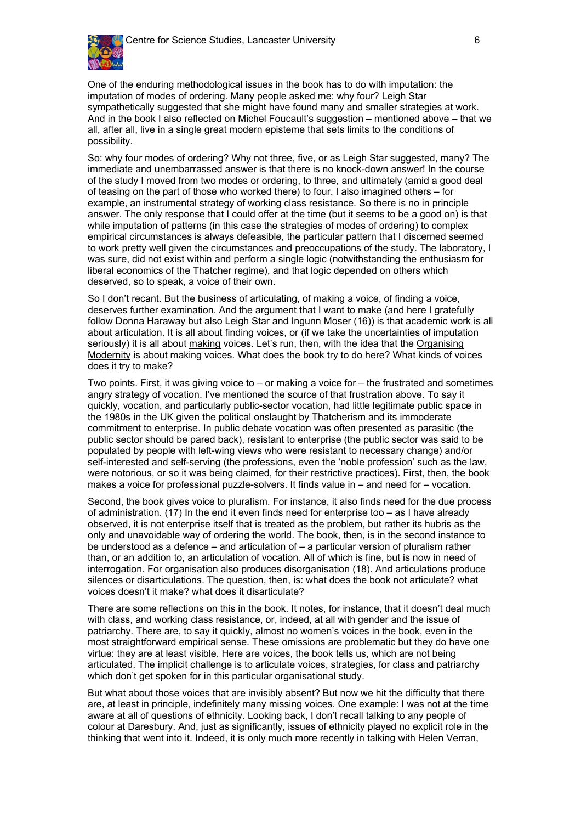

One of the enduring methodological issues in the book has to do with imputation: the imputation of modes of ordering. Many people asked me: why four? Leigh Star sympathetically suggested that she might have found many and smaller strategies at work. And in the book I also reflected on Michel Foucault's suggestion – mentioned above – that we all, after all, live in a single great modern episteme that sets limits to the conditions of possibility.

So: why four modes of ordering? Why not three, five, or as Leigh Star suggested, many? The immediate and unembarrassed answer is that there is no knock-down answer! In the course of the study I moved from two modes or ordering, to three, and ultimately (amid a good deal of teasing on the part of those who worked there) to four. I also imagined others – for example, an instrumental strategy of working class resistance. So there is no in principle answer. The only response that I could offer at the time (but it seems to be a good on) is that while imputation of patterns (in this case the strategies of modes of ordering) to complex empirical circumstances is always defeasible, the particular pattern that I discerned seemed to work pretty well given the circumstances and preoccupations of the study. The laboratory, I was sure, did not exist within and perform a single logic (notwithstanding the enthusiasm for liberal economics of the Thatcher regime), and that logic depended on others which deserved, so to speak, a voice of their own.

So I don't recant. But the business of articulating, of making a voice, of finding a voice, deserves further examination. And the argument that I want to make (and here I gratefully follow Donna Haraway but also Leigh Star and Ingunn Moser (16)) is that academic work is all about articulation. It is all about finding voices, or (if we take the uncertainties of imputation seriously) it is all about making voices. Let's run, then, with the idea that the Organising Modernity is about making voices. What does the book try to do here? What kinds of voices does it try to make?

Two points. First, it was giving voice to – or making a voice for – the frustrated and sometimes angry strategy of vocation. I've mentioned the source of that frustration above. To say it quickly, vocation, and particularly public-sector vocation, had little legitimate public space in the 1980s in the UK given the political onslaught by Thatcherism and its immoderate commitment to enterprise. In public debate vocation was often presented as parasitic (the public sector should be pared back), resistant to enterprise (the public sector was said to be populated by people with left-wing views who were resistant to necessary change) and/or self-interested and self-serving (the professions, even the 'noble profession' such as the law, were notorious, or so it was being claimed, for their restrictive practices). First, then, the book makes a voice for professional puzzle-solvers. It finds value in – and need for – vocation.

Second, the book gives voice to pluralism. For instance, it also finds need for the due process of administration. (17) In the end it even finds need for enterprise too – as I have already observed, it is not enterprise itself that is treated as the problem, but rather its hubris as the only and unavoidable way of ordering the world. The book, then, is in the second instance to be understood as a defence – and articulation of – a particular version of pluralism rather than, or an addition to, an articulation of vocation. All of which is fine, but is now in need of interrogation. For organisation also produces disorganisation (18). And articulations produce silences or disarticulations. The question, then, is: what does the book not articulate? what voices doesn't it make? what does it disarticulate?

There are some reflections on this in the book. It notes, for instance, that it doesn't deal much with class, and working class resistance, or, indeed, at all with gender and the issue of patriarchy. There are, to say it quickly, almost no women's voices in the book, even in the most straightforward empirical sense. These omissions are problematic but they do have one virtue: they are at least visible. Here are voices, the book tells us, which are not being articulated. The implicit challenge is to articulate voices, strategies, for class and patriarchy which don't get spoken for in this particular organisational study.

But what about those voices that are invisibly absent? But now we hit the difficulty that there are, at least in principle, indefinitely many missing voices. One example: I was not at the time aware at all of questions of ethnicity. Looking back, I don't recall talking to any people of colour at Daresbury. And, just as significantly, issues of ethnicity played no explicit role in the thinking that went into it. Indeed, it is only much more recently in talking with Helen Verran,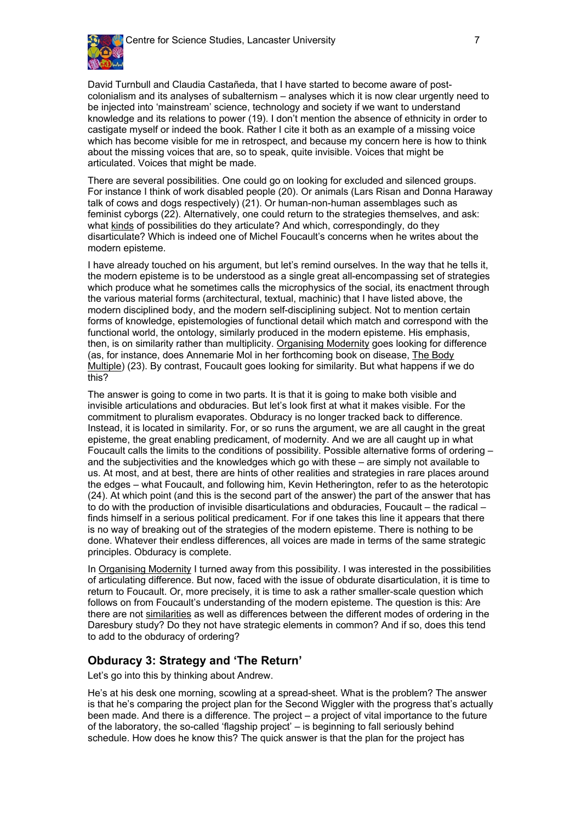

David Turnbull and Claudia Castañeda, that I have started to become aware of postcolonialism and its analyses of subalternism – analyses which it is now clear urgently need to be injected into 'mainstream' science, technology and society if we want to understand knowledge and its relations to power (19). I don't mention the absence of ethnicity in order to castigate myself or indeed the book. Rather I cite it both as an example of a missing voice which has become visible for me in retrospect, and because my concern here is how to think about the missing voices that are, so to speak, quite invisible. Voices that might be articulated. Voices that might be made.

There are several possibilities. One could go on looking for excluded and silenced groups. For instance I think of work disabled people (20). Or animals (Lars Risan and Donna Haraway talk of cows and dogs respectively) (21). Or human-non-human assemblages such as feminist cyborgs (22). Alternatively, one could return to the strategies themselves, and ask: what kinds of possibilities do they articulate? And which, correspondingly, do they disarticulate? Which is indeed one of Michel Foucault's concerns when he writes about the modern episteme.

I have already touched on his argument, but let's remind ourselves. In the way that he tells it, the modern episteme is to be understood as a single great all-encompassing set of strategies which produce what he sometimes calls the microphysics of the social, its enactment through the various material forms (architectural, textual, machinic) that I have listed above, the modern disciplined body, and the modern self-disciplining subject. Not to mention certain forms of knowledge, epistemologies of functional detail which match and correspond with the functional world, the ontology, similarly produced in the modern episteme. His emphasis, then, is on similarity rather than multiplicity. Organising Modernity goes looking for difference (as, for instance, does Annemarie Mol in her forthcoming book on disease, The Body Multiple) (23). By contrast, Foucault goes looking for similarity. But what happens if we do this?

The answer is going to come in two parts. It is that it is going to make both visible and invisible articulations and obduracies. But let's look first at what it makes visible. For the commitment to pluralism evaporates. Obduracy is no longer tracked back to difference. Instead, it is located in similarity. For, or so runs the argument, we are all caught in the great episteme, the great enabling predicament, of modernity. And we are all caught up in what Foucault calls the limits to the conditions of possibility. Possible alternative forms of ordering – and the subjectivities and the knowledges which go with these – are simply not available to us. At most, and at best, there are hints of other realities and strategies in rare places around the edges – what Foucault, and following him, Kevin Hetherington, refer to as the heterotopic (24). At which point (and this is the second part of the answer) the part of the answer that has to do with the production of invisible disarticulations and obduracies, Foucault – the radical – finds himself in a serious political predicament. For if one takes this line it appears that there is no way of breaking out of the strategies of the modern episteme. There is nothing to be done. Whatever their endless differences, all voices are made in terms of the same strategic principles. Obduracy is complete.

In Organising Modernity I turned away from this possibility. I was interested in the possibilities of articulating difference. But now, faced with the issue of obdurate disarticulation, it is time to return to Foucault. Or, more precisely, it is time to ask a rather smaller-scale question which follows on from Foucault's understanding of the modern episteme. The question is this: Are there are not similarities as well as differences between the different modes of ordering in the Daresbury study? Do they not have strategic elements in common? And if so, does this tend to add to the obduracy of ordering?

#### **Obduracy 3: Strategy and 'The Return'**

Let's go into this by thinking about Andrew.

He's at his desk one morning, scowling at a spread-sheet. What is the problem? The answer is that he's comparing the project plan for the Second Wiggler with the progress that's actually been made. And there is a difference. The project – a project of vital importance to the future of the laboratory, the so-called 'flagship project' – is beginning to fall seriously behind schedule. How does he know this? The quick answer is that the plan for the project has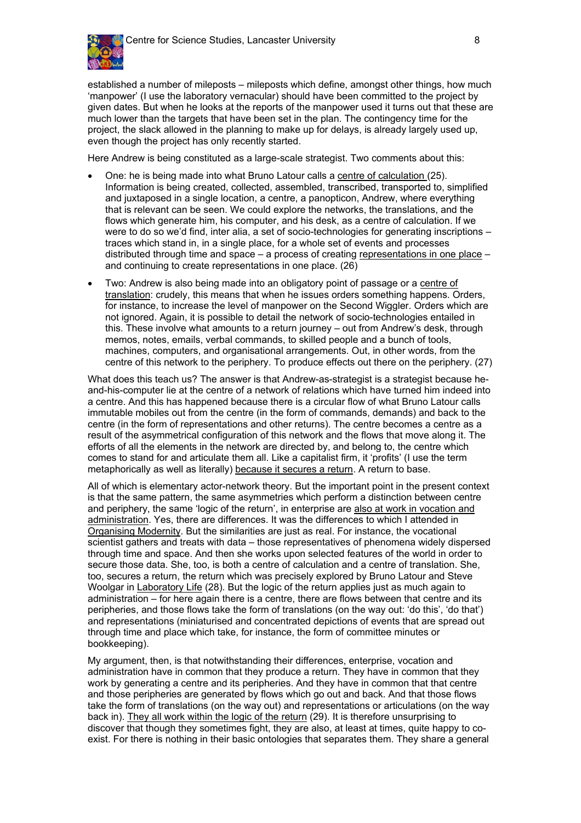

established a number of mileposts – mileposts which define, amongst other things, how much 'manpower' (I use the laboratory vernacular) should have been committed to the project by given dates. But when he looks at the reports of the manpower used it turns out that these are much lower than the targets that have been set in the plan. The contingency time for the project, the slack allowed in the planning to make up for delays, is already largely used up, even though the project has only recently started.

Here Andrew is being constituted as a large-scale strategist. Two comments about this:

- One: he is being made into what Bruno Latour calls a centre of calculation (25). Information is being created, collected, assembled, transcribed, transported to, simplified and juxtaposed in a single location, a centre, a panopticon, Andrew, where everything that is relevant can be seen. We could explore the networks, the translations, and the flows which generate him, his computer, and his desk, as a centre of calculation. If we were to do so we'd find, inter alia, a set of socio-technologies for generating inscriptions – traces which stand in, in a single place, for a whole set of events and processes distributed through time and space – a process of creating representations in one place – and continuing to create representations in one place. (26)
- Two: Andrew is also being made into an obligatory point of passage or a centre of translation: crudely, this means that when he issues orders something happens. Orders, for instance, to increase the level of manpower on the Second Wiggler. Orders which are not ignored. Again, it is possible to detail the network of socio-technologies entailed in this. These involve what amounts to a return journey – out from Andrew's desk, through memos, notes, emails, verbal commands, to skilled people and a bunch of tools, machines, computers, and organisational arrangements. Out, in other words, from the centre of this network to the periphery. To produce effects out there on the periphery. (27)

What does this teach us? The answer is that Andrew-as-strategist is a strategist because heand-his-computer lie at the centre of a network of relations which have turned him indeed into a centre. And this has happened because there is a circular flow of what Bruno Latour calls immutable mobiles out from the centre (in the form of commands, demands) and back to the centre (in the form of representations and other returns). The centre becomes a centre as a result of the asymmetrical configuration of this network and the flows that move along it. The efforts of all the elements in the network are directed by, and belong to, the centre which comes to stand for and articulate them all. Like a capitalist firm, it 'profits' (I use the term metaphorically as well as literally) because it secures a return. A return to base.

All of which is elementary actor-network theory. But the important point in the present context is that the same pattern, the same asymmetries which perform a distinction between centre and periphery, the same 'logic of the return', in enterprise are also at work in vocation and administration. Yes, there are differences. It was the differences to which I attended in Organising Modernity. But the similarities are just as real. For instance, the vocational scientist gathers and treats with data – those representatives of phenomena widely dispersed through time and space. And then she works upon selected features of the world in order to secure those data. She, too, is both a centre of calculation and a centre of translation. She, too, secures a return, the return which was precisely explored by Bruno Latour and Steve Woolgar in Laboratory Life (28). But the logic of the return applies just as much again to administration – for here again there is a centre, there are flows between that centre and its peripheries, and those flows take the form of translations (on the way out: 'do this', 'do that') and representations (miniaturised and concentrated depictions of events that are spread out through time and place which take, for instance, the form of committee minutes or bookkeeping).

My argument, then, is that notwithstanding their differences, enterprise, vocation and administration have in common that they produce a return. They have in common that they work by generating a centre and its peripheries. And they have in common that that centre and those peripheries are generated by flows which go out and back. And that those flows take the form of translations (on the way out) and representations or articulations (on the way back in). They all work within the logic of the return (29). It is therefore unsurprising to discover that though they sometimes fight, they are also, at least at times, quite happy to coexist. For there is nothing in their basic ontologies that separates them. They share a general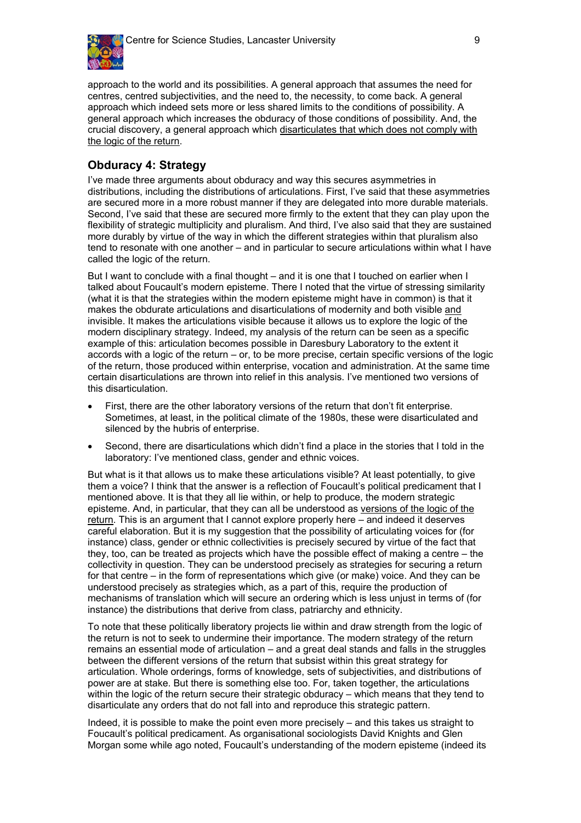

approach to the world and its possibilities. A general approach that assumes the need for centres, centred subjectivities, and the need to, the necessity, to come back. A general approach which indeed sets more or less shared limits to the conditions of possibility. A general approach which increases the obduracy of those conditions of possibility. And, the crucial discovery, a general approach which disarticulates that which does not comply with the logic of the return.

# **Obduracy 4: Strategy**

I've made three arguments about obduracy and way this secures asymmetries in distributions, including the distributions of articulations. First, I've said that these asymmetries are secured more in a more robust manner if they are delegated into more durable materials. Second, I've said that these are secured more firmly to the extent that they can play upon the flexibility of strategic multiplicity and pluralism. And third, I've also said that they are sustained more durably by virtue of the way in which the different strategies within that pluralism also tend to resonate with one another – and in particular to secure articulations within what I have called the logic of the return.

But I want to conclude with a final thought – and it is one that I touched on earlier when I talked about Foucault's modern episteme. There I noted that the virtue of stressing similarity (what it is that the strategies within the modern episteme might have in common) is that it makes the obdurate articulations and disarticulations of modernity and both visible and invisible. It makes the articulations visible because it allows us to explore the logic of the modern disciplinary strategy. Indeed, my analysis of the return can be seen as a specific example of this: articulation becomes possible in Daresbury Laboratory to the extent it accords with a logic of the return – or, to be more precise, certain specific versions of the logic of the return, those produced within enterprise, vocation and administration. At the same time certain disarticulations are thrown into relief in this analysis. I've mentioned two versions of this disarticulation.

- First, there are the other laboratory versions of the return that don't fit enterprise. Sometimes, at least, in the political climate of the 1980s, these were disarticulated and silenced by the hubris of enterprise.
- Second, there are disarticulations which didn't find a place in the stories that I told in the laboratory: I've mentioned class, gender and ethnic voices.

But what is it that allows us to make these articulations visible? At least potentially, to give them a voice? I think that the answer is a reflection of Foucault's political predicament that I mentioned above. It is that they all lie within, or help to produce, the modern strategic episteme. And, in particular, that they can all be understood as versions of the logic of the return. This is an argument that I cannot explore properly here – and indeed it deserves careful elaboration. But it is my suggestion that the possibility of articulating voices for (for instance) class, gender or ethnic collectivities is precisely secured by virtue of the fact that they, too, can be treated as projects which have the possible effect of making a centre – the collectivity in question. They can be understood precisely as strategies for securing a return for that centre – in the form of representations which give (or make) voice. And they can be understood precisely as strategies which, as a part of this, require the production of mechanisms of translation which will secure an ordering which is less unjust in terms of (for instance) the distributions that derive from class, patriarchy and ethnicity.

To note that these politically liberatory projects lie within and draw strength from the logic of the return is not to seek to undermine their importance. The modern strategy of the return remains an essential mode of articulation – and a great deal stands and falls in the struggles between the different versions of the return that subsist within this great strategy for articulation. Whole orderings, forms of knowledge, sets of subjectivities, and distributions of power are at stake. But there is something else too. For, taken together, the articulations within the logic of the return secure their strategic obduracy – which means that they tend to disarticulate any orders that do not fall into and reproduce this strategic pattern.

Indeed, it is possible to make the point even more precisely – and this takes us straight to Foucault's political predicament. As organisational sociologists David Knights and Glen Morgan some while ago noted, Foucault's understanding of the modern episteme (indeed its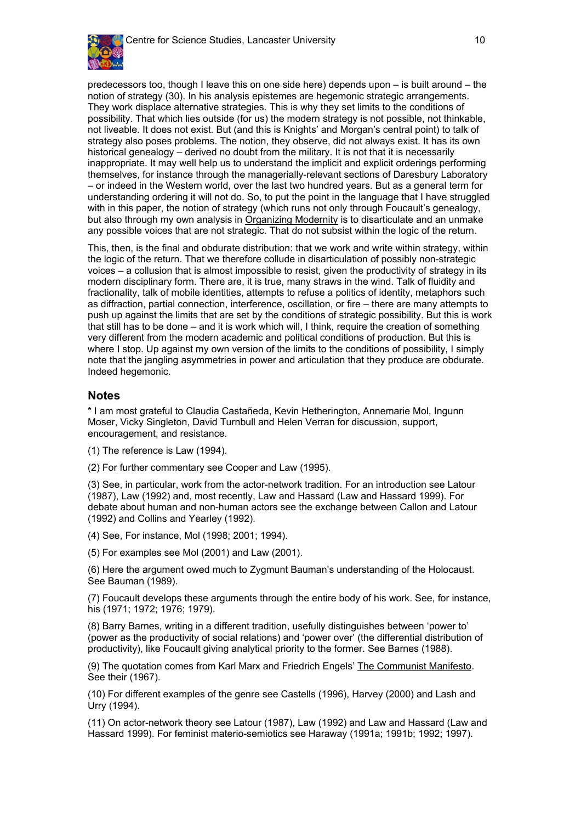

predecessors too, though I leave this on one side here) depends upon – is built around – the notion of strategy (30). In his analysis epistemes are hegemonic strategic arrangements. They work displace alternative strategies. This is why they set limits to the conditions of possibility. That which lies outside (for us) the modern strategy is not possible, not thinkable, not liveable. It does not exist. But (and this is Knights' and Morgan's central point) to talk of strategy also poses problems. The notion, they observe, did not always exist. It has its own historical genealogy – derived no doubt from the military. It is not that it is necessarily inappropriate. It may well help us to understand the implicit and explicit orderings performing themselves, for instance through the managerially-relevant sections of Daresbury Laboratory – or indeed in the Western world, over the last two hundred years. But as a general term for understanding ordering it will not do. So, to put the point in the language that I have struggled with in this paper, the notion of strategy (which runs not only through Foucault's genealogy, but also through my own analysis in Organizing Modernity is to disarticulate and an unmake any possible voices that are not strategic. That do not subsist within the logic of the return.

This, then, is the final and obdurate distribution: that we work and write within strategy, within the logic of the return. That we therefore collude in disarticulation of possibly non-strategic voices – a collusion that is almost impossible to resist, given the productivity of strategy in its modern disciplinary form. There are, it is true, many straws in the wind. Talk of fluidity and fractionality, talk of mobile identities, attempts to refuse a politics of identity, metaphors such as diffraction, partial connection, interference, oscillation, or fire – there are many attempts to push up against the limits that are set by the conditions of strategic possibility. But this is work that still has to be done – and it is work which will, I think, require the creation of something very different from the modern academic and political conditions of production. But this is where I stop. Up against my own version of the limits to the conditions of possibility. I simply note that the jangling asymmetries in power and articulation that they produce are obdurate. Indeed hegemonic.

#### **Notes**

\* I am most grateful to Claudia Castañeda, Kevin Hetherington, Annemarie Mol, Ingunn Moser, Vicky Singleton, David Turnbull and Helen Verran for discussion, support, encouragement, and resistance.

(1) The reference is Law (1994).

(2) For further commentary see Cooper and Law (1995).

(3) See, in particular, work from the actor-network tradition. For an introduction see Latour (1987), Law (1992) and, most recently, Law and Hassard (Law and Hassard 1999). For debate about human and non-human actors see the exchange between Callon and Latour (1992) and Collins and Yearley (1992).

(4) See, For instance, Mol (1998; 2001; 1994).

(5) For examples see Mol (2001) and Law (2001).

(6) Here the argument owed much to Zygmunt Bauman's understanding of the Holocaust. See Bauman (1989).

(7) Foucault develops these arguments through the entire body of his work. See, for instance, his (1971; 1972; 1976; 1979).

(8) Barry Barnes, writing in a different tradition, usefully distinguishes between 'power to' (power as the productivity of social relations) and 'power over' (the differential distribution of productivity), like Foucault giving analytical priority to the former. See Barnes (1988).

(9) The quotation comes from Karl Marx and Friedrich Engels' The Communist Manifesto. See their (1967).

(10) For different examples of the genre see Castells (1996), Harvey (2000) and Lash and Urry (1994).

(11) On actor-network theory see Latour (1987), Law (1992) and Law and Hassard (Law and Hassard 1999). For feminist materio-semiotics see Haraway (1991a; 1991b; 1992; 1997).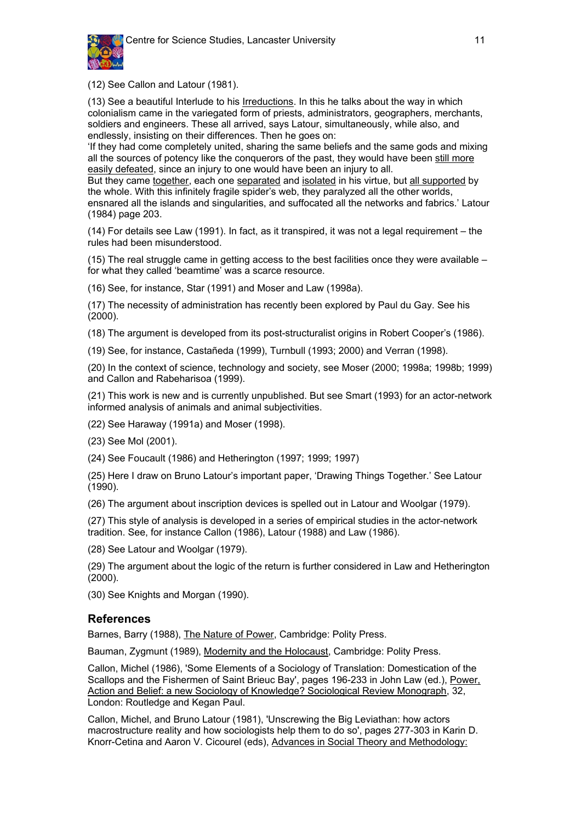

(12) See Callon and Latour (1981).

(13) See a beautiful Interlude to his Irreductions. In this he talks about the way in which colonialism came in the variegated form of priests, administrators, geographers, merchants, soldiers and engineers. These all arrived, says Latour, simultaneously, while also, and endlessly, insisting on their differences. Then he goes on:

'If they had come completely united, sharing the same beliefs and the same gods and mixing all the sources of potency like the conquerors of the past, they would have been still more easily defeated, since an injury to one would have been an injury to all.

But they came together, each one separated and isolated in his virtue, but all supported by the whole. With this infinitely fragile spider's web, they paralyzed all the other worlds, ensnared all the islands and singularities, and suffocated all the networks and fabrics.' Latour (1984) page 203.

(14) For details see Law (1991). In fact, as it transpired, it was not a legal requirement – the rules had been misunderstood.

(15) The real struggle came in getting access to the best facilities once they were available – for what they called 'beamtime' was a scarce resource.

(16) See, for instance, Star (1991) and Moser and Law (1998a).

(17) The necessity of administration has recently been explored by Paul du Gay. See his (2000).

(18) The argument is developed from its post-structuralist origins in Robert Cooper's (1986).

(19) See, for instance, Castañeda (1999), Turnbull (1993; 2000) and Verran (1998).

(20) In the context of science, technology and society, see Moser (2000; 1998a; 1998b; 1999) and Callon and Rabeharisoa (1999).

(21) This work is new and is currently unpublished. But see Smart (1993) for an actor-network informed analysis of animals and animal subjectivities.

(22) See Haraway (1991a) and Moser (1998).

(23) See Mol (2001).

(24) See Foucault (1986) and Hetherington (1997; 1999; 1997)

(25) Here I draw on Bruno Latour's important paper, 'Drawing Things Together.' See Latour (1990).

(26) The argument about inscription devices is spelled out in Latour and Woolgar (1979).

(27) This style of analysis is developed in a series of empirical studies in the actor-network tradition. See, for instance Callon (1986), Latour (1988) and Law (1986).

(28) See Latour and Woolgar (1979).

(29) The argument about the logic of the return is further considered in Law and Hetherington (2000).

(30) See Knights and Morgan (1990).

#### **References**

Barnes, Barry (1988), The Nature of Power, Cambridge: Polity Press.

Bauman, Zygmunt (1989), Modernity and the Holocaust, Cambridge: Polity Press.

Callon, Michel (1986), 'Some Elements of a Sociology of Translation: Domestication of the Scallops and the Fishermen of Saint Brieuc Bay', pages 196-233 in John Law (ed.), Power, Action and Belief: a new Sociology of Knowledge? Sociological Review Monograph, 32, London: Routledge and Kegan Paul.

Callon, Michel, and Bruno Latour (1981), 'Unscrewing the Big Leviathan: how actors macrostructure reality and how sociologists help them to do so', pages 277-303 in Karin D. Knorr-Cetina and Aaron V. Cicourel (eds), Advances in Social Theory and Methodology: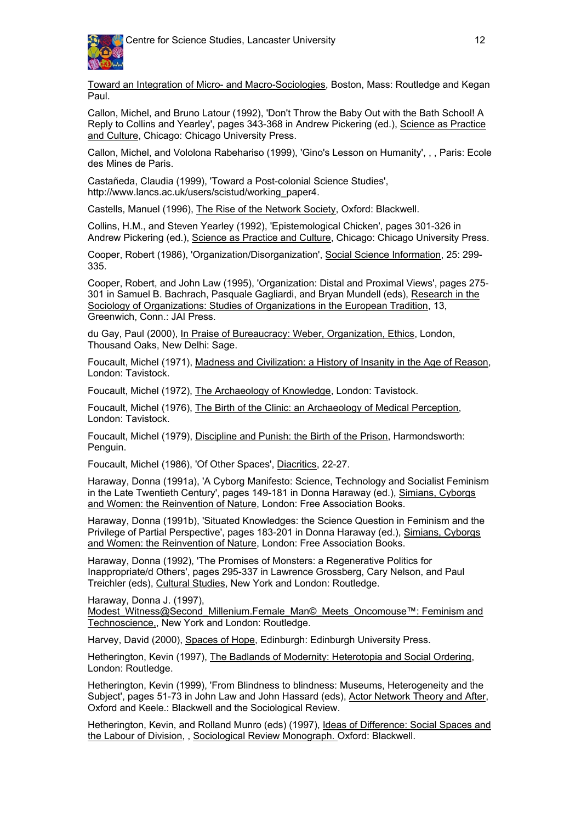

Toward an Integration of Micro- and Macro-Sociologies, Boston, Mass: Routledge and Kegan Paul.

Callon, Michel, and Bruno Latour (1992), 'Don't Throw the Baby Out with the Bath School! A Reply to Collins and Yearley', pages 343-368 in Andrew Pickering (ed.), Science as Practice and Culture, Chicago: Chicago University Press.

Callon, Michel, and Vololona Rabehariso (1999), 'Gino's Lesson on Humanity', , , Paris: Ecole des Mines de Paris.

Castañeda, Claudia (1999), 'Toward a Post-colonial Science Studies', http://www.lancs.ac.uk/users/scistud/working\_paper4.

Castells, Manuel (1996), The Rise of the Network Society, Oxford: Blackwell.

Collins, H.M., and Steven Yearley (1992), 'Epistemological Chicken', pages 301-326 in Andrew Pickering (ed.), Science as Practice and Culture, Chicago: Chicago University Press.

Cooper, Robert (1986), 'Organization/Disorganization', Social Science Information, 25: 299- 335.

Cooper, Robert, and John Law (1995), 'Organization: Distal and Proximal Views', pages 275- 301 in Samuel B. Bachrach, Pasquale Gagliardi, and Bryan Mundell (eds), Research in the Sociology of Organizations: Studies of Organizations in the European Tradition, 13, Greenwich, Conn.: JAI Press.

du Gay, Paul (2000), In Praise of Bureaucracy: Weber, Organization, Ethics, London, Thousand Oaks, New Delhi: Sage.

Foucault, Michel (1971), Madness and Civilization: a History of Insanity in the Age of Reason, London: Tavistock.

Foucault, Michel (1972), The Archaeology of Knowledge, London: Tavistock.

Foucault, Michel (1976), The Birth of the Clinic: an Archaeology of Medical Perception, London: Tavistock.

Foucault, Michel (1979), Discipline and Punish: the Birth of the Prison, Harmondsworth: Penguin.

Foucault, Michel (1986), 'Of Other Spaces', Diacritics, 22-27.

Haraway, Donna (1991a), 'A Cyborg Manifesto: Science, Technology and Socialist Feminism in the Late Twentieth Century', pages 149-181 in Donna Haraway (ed.), Simians, Cyborgs and Women: the Reinvention of Nature, London: Free Association Books.

Haraway, Donna (1991b), 'Situated Knowledges: the Science Question in Feminism and the Privilege of Partial Perspective', pages 183-201 in Donna Haraway (ed.), Simians, Cyborgs and Women: the Reinvention of Nature, London: Free Association Books.

Haraway, Donna (1992), 'The Promises of Monsters: a Regenerative Politics for Inappropriate/d Others', pages 295-337 in Lawrence Grossberg, Cary Nelson, and Paul Treichler (eds), Cultural Studies, New York and London: Routledge.

Haraway, Donna J. (1997), Modest\_Witness@Second\_Millenium.Female\_Man©\_Meets\_Oncomouse™: Feminism and Technoscience,, New York and London: Routledge.

Harvey, David (2000), Spaces of Hope, Edinburgh: Edinburgh University Press.

Hetherington, Kevin (1997), The Badlands of Modernity: Heterotopia and Social Ordering, London: Routledge.

Hetherington, Kevin (1999), 'From Blindness to blindness: Museums, Heterogeneity and the Subject', pages 51-73 in John Law and John Hassard (eds), Actor Network Theory and After, Oxford and Keele.: Blackwell and the Sociological Review.

Hetherington, Kevin, and Rolland Munro (eds) (1997), Ideas of Difference: Social Spaces and the Labour of Division, , Sociological Review Monograph. Oxford: Blackwell.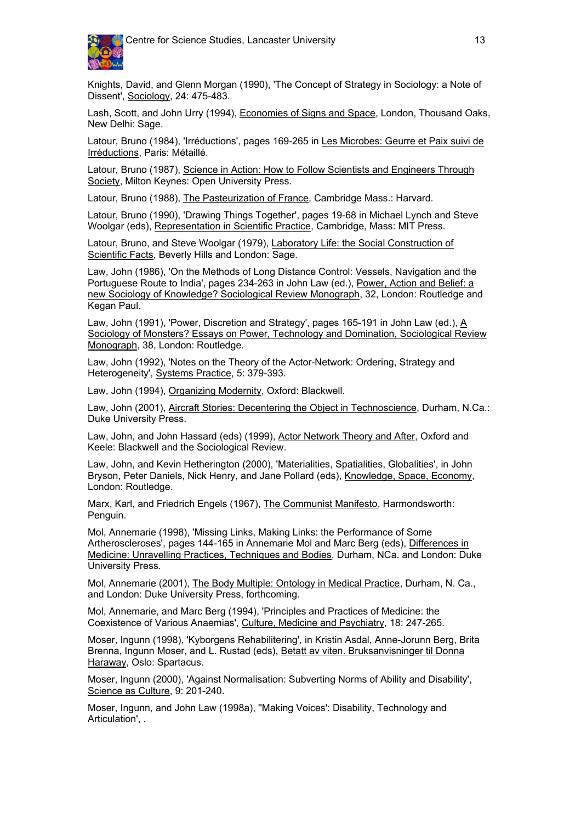

Knights, David, and Glenn Morgan (1990), 'The Concept of Strategy in Sociology: a Note of Dissent', Sociology, 24: 475-483.

Lash, Scott, and John Urry (1994), Economies of Signs and Space, London, Thousand Oaks, New Delhi: Sage.

Latour, Bruno (1984), 'Irréductions', pages 169-265 in Les Microbes: Geurre et Paix suivi de Irréductions, Paris: Métaillé.

Latour, Bruno (1987), Science in Action: How to Follow Scientists and Engineers Through Society, Milton Keynes: Open University Press.

Latour, Bruno (1988), The Pasteurization of France, Cambridge Mass.: Harvard.

Latour, Bruno (1990), 'Drawing Things Together', pages 19-68 in Michael Lynch and Steve Woolgar (eds), Representation in Scientific Practice, Cambridge, Mass: MIT Press.

Latour, Bruno, and Steve Woolgar (1979), Laboratory Life: the Social Construction of Scientific Facts, Beverly Hills and London: Sage.

Law, John (1986), 'On the Methods of Long Distance Control: Vessels, Navigation and the Portuguese Route to India', pages 234-263 in John Law (ed.), Power, Action and Belief: a new Sociology of Knowledge? Sociological Review Monograph, 32, London: Routledge and Kegan Paul.

Law, John (1991), 'Power, Discretion and Strategy', pages 165-191 in John Law (ed.), A Sociology of Monsters? Essays on Power, Technology and Domination, Sociological Review Monograph, 38, London: Routledge.

Law, John (1992), 'Notes on the Theory of the Actor-Network: Ordering, Strategy and Heterogeneity', Systems Practice, 5: 379-393.

Law, John (1994), Organizing Modernity, Oxford: Blackwell.

Law, John (2001), Aircraft Stories: Decentering the Object in Technoscience, Durham, N.Ca.: Duke University Press.

Law, John, and John Hassard (eds) (1999), Actor Network Theory and After, Oxford and Keele: Blackwell and the Sociological Review.

Law, John, and Kevin Hetherington (2000), 'Materialities, Spatialities, Globalities', in John Bryson, Peter Daniels, Nick Henry, and Jane Pollard (eds), Knowledge, Space, Economy, London: Routledge.

Marx, Karl, and Friedrich Engels (1967), The Communist Manifesto, Harmondsworth: Penguin.

Mol, Annemarie (1998), 'Missing Links, Making Links: the Performance of Some Artheroscleroses', pages 144-165 in Annemarie Mol and Marc Berg (eds), Differences in Medicine: Unravelling Practices, Techniques and Bodies, Durham, NCa. and London: Duke University Press.

Mol, Annemarie (2001), The Body Multiple: Ontology in Medical Practice, Durham, N. Ca., and London: Duke University Press, forthcoming.

Mol, Annemarie, and Marc Berg (1994), 'Principles and Practices of Medicine: the Coexistence of Various Anaemias', Culture, Medicine and Psychiatry, 18: 247-265.

Moser, Ingunn (1998), 'Kyborgens Rehabilitering', in Kristin Asdal, Anne-Jorunn Berg, Brita Brenna, Ingunn Moser, and L. Rustad (eds), Betatt av viten. Bruksanvisninger til Donna Haraway, Oslo: Spartacus.

Moser, Ingunn (2000), 'Against Normalisation: Subverting Norms of Ability and Disability', Science as Culture, 9: 201-240.

Moser, Ingunn, and John Law (1998a), ''Making Voices': Disability, Technology and Articulation', .